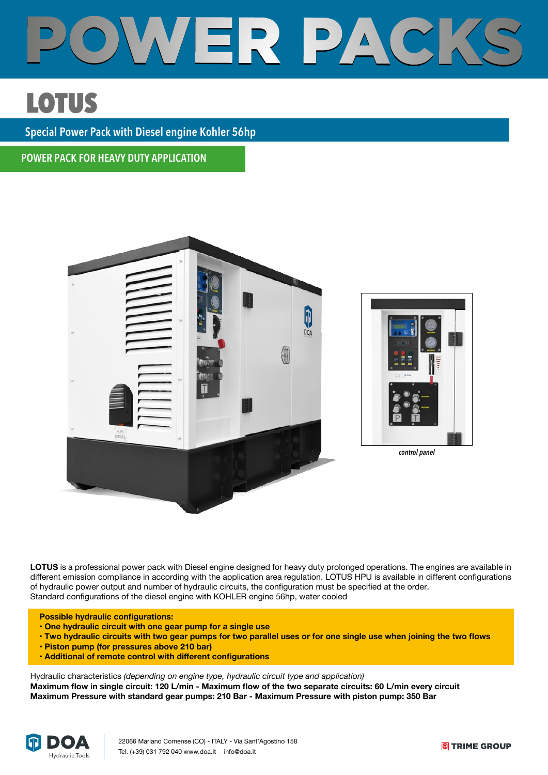

## **LOTUS** LOTUS **LOTUS**

**Special Power Pack with Diesel engine Kohler 56hp** 

**POWER PACK FOR HEAVY DUTY APPLICATION**



**LOTUS** is a professional power pack with Diesel engine designed for heavy duty prolonged operations. The engines are available in different emission compliance in according with the application area regulation. LOTUS HPU is available in different configurations of hydraulic power output and number of hydraulic circuits, the configuration must be specified at the order. Standard configurations of the diesel engine with KOHLER engine 56hp, water cooled

 **Possible hydraulic configurations:**

- **One hydraulic circuit with one gear pump for a single use**
- **Two hydraulic circuits with two gear pumps for two parallel uses or for one single use when joining the two flows**
- **Piston pump (for pressures above 210 bar)**
- **Additional of remote control with different configurations**

Hydraulic characteristics *(depending on engine type, hydraulic circuit type and application)* **Maximum flow in single circuit: 120 L/min - Maximum flow of the two separate circuits: 60 L/min every circuit Maximum Pressure with standard gear pumps: 210 Bar - Maximum Pressure with piston pump: 350 Bar**